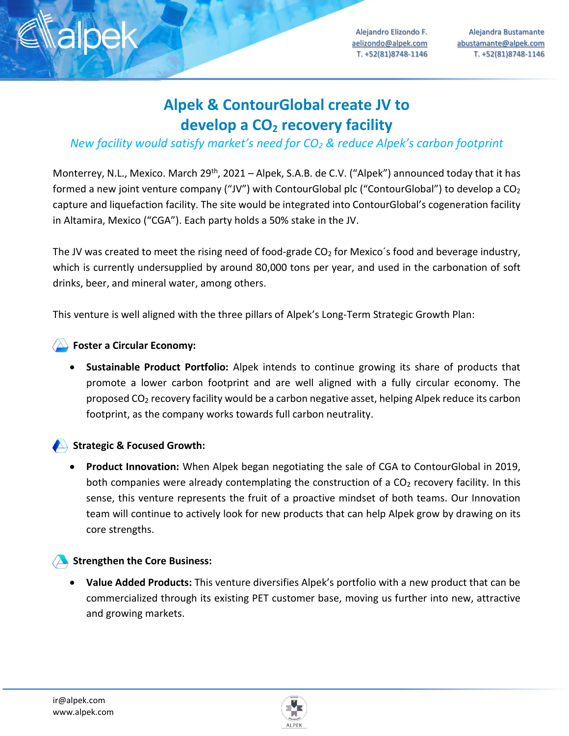

Alejandra Bustamante [abustamante@alpek.com](mailto:abustamante@alpek.com) T. +52(81)8748-1146

# **Alpek & ContourGlobal create JV to develop a CO<sup>2</sup> recovery facility**

## *New facility would satisfy market's need for CO<sup>2</sup> & reduce Alpek's carbon footprint*

Monterrey, N.L., Mexico. March 29<sup>th</sup>, 2021 – Alpek, S.A.B. de C.V. ("Alpek") announced today that it has formed a new joint venture company ("JV") with ContourGlobal plc ("ContourGlobal") to develop a  $CO<sub>2</sub>$ capture and liquefaction facility. The site would be integrated into ContourGlobal's cogeneration facility in Altamira, Mexico ("CGA"). Each party holds a 50% stake in the JV.

The JV was created to meet the rising need of food-grade CO<sub>2</sub> for Mexico's food and beverage industry, which is currently undersupplied by around 80,000 tons per year, and used in the carbonation of soft drinks, beer, and mineral water, among others.

This venture is well aligned with the three pillars of Alpek's Long-Term Strategic Growth Plan:

### **Foster a Circular Economy:**

• **Sustainable Product Portfolio:** Alpek intends to continue growing its share of products that promote a lower carbon footprint and are well aligned with a fully circular economy. The proposed CO<sup>2</sup> recovery facility would be a carbon negative asset, helping Alpek reduce its carbon footprint, as the company works towards full carbon neutrality.

### Strategic & Focused Growth:

• **Product Innovation:** When Alpek began negotiating the sale of CGA to ContourGlobal in 2019, both companies were already contemplating the construction of a  $CO<sub>2</sub>$  recovery facility. In this sense, this venture represents the fruit of a proactive mindset of both teams. Our Innovation team will continue to actively look for new products that can help Alpek grow by drawing on its core strengths.

### **Strengthen the Core Business:**

• **Value Added Products:** This venture diversifies Alpek's portfolio with a new product that can be commercialized through its existing PET customer base, moving us further into new, attractive and growing markets.